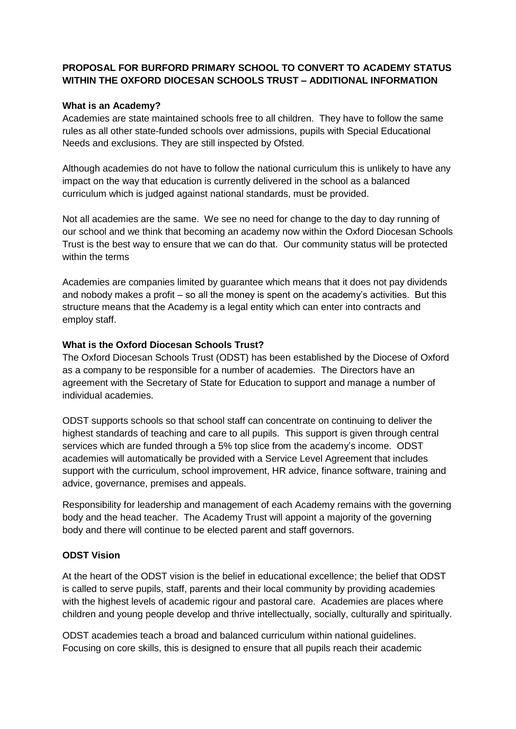# **PROPOSAL FOR BURFORD PRIMARY SCHOOL TO CONVERT TO ACADEMY STATUS WITHIN THE OXFORD DIOCESAN SCHOOLS TRUST – ADDITIONAL INFORMATION**

### **What is an Academy?**

Academies are state maintained schools free to all children. They have to follow the same rules as all other state-funded schools over admissions, pupils with Special Educational Needs and exclusions. They are still inspected by Ofsted.

Although academies do not have to follow the national curriculum this is unlikely to have any impact on the way that education is currently delivered in the school as a balanced curriculum which is judged against national standards, must be provided.

Not all academies are the same. We see no need for change to the day to day running of our school and we think that becoming an academy now within the Oxford Diocesan Schools Trust is the best way to ensure that we can do that. Our community status will be protected within the terms

Academies are companies limited by guarantee which means that it does not pay dividends and nobody makes a profit – so all the money is spent on the academy's activities. But this structure means that the Academy is a legal entity which can enter into contracts and employ staff.

## **What is the Oxford Diocesan Schools Trust?**

The Oxford Diocesan Schools Trust (ODST) has been established by the Diocese of Oxford as a company to be responsible for a number of academies. The Directors have an agreement with the Secretary of State for Education to support and manage a number of individual academies.

ODST supports schools so that school staff can concentrate on continuing to deliver the highest standards of teaching and care to all pupils. This support is given through central services which are funded through a 5% top slice from the academy's income. ODST academies will automatically be provided with a Service Level Agreement that includes support with the curriculum, school improvement, HR advice, finance software, training and advice, governance, premises and appeals.

Responsibility for leadership and management of each Academy remains with the governing body and the head teacher. The Academy Trust will appoint a majority of the governing body and there will continue to be elected parent and staff governors.

#### **ODST Vision**

At the heart of the ODST vision is the belief in educational excellence; the belief that ODST is called to serve pupils, staff, parents and their local community by providing academies with the highest levels of academic rigour and pastoral care. Academies are places where children and young people develop and thrive intellectually, socially, culturally and spiritually.

ODST academies teach a broad and balanced curriculum within national guidelines. Focusing on core skills, this is designed to ensure that all pupils reach their academic